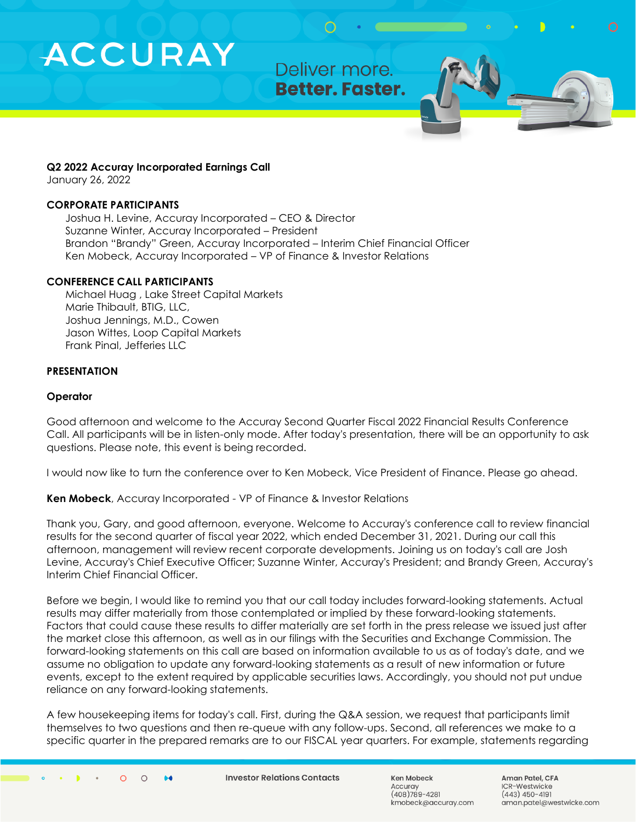Deliver more. **Better. Faster.** 

#### **Q2 2022 Accuray Incorporated Earnings Call**

January 26, 2022

#### **CORPORATE PARTICIPANTS**

Joshua H. Levine, Accuray Incorporated – CEO & Director Suzanne Winter, Accuray Incorporated – President Brandon "Brandy" Green, Accuray Incorporated – Interim Chief Financial Officer Ken Mobeck, Accuray Incorporated – VP of Finance & Investor Relations

#### **CONFERENCE CALL PARTICIPANTS**

Michael Huag , Lake Street Capital Markets Marie Thibault, BTIG, LLC, Joshua Jennings, M.D., Cowen Jason Wittes, Loop Capital Markets Frank Pinal, Jefferies LLC

#### **PRESENTATION**

#### **Operator**

Good afternoon and welcome to the Accuray Second Quarter Fiscal 2022 Financial Results Conference Call. All participants will be in listen-only mode. After today's presentation, there will be an opportunity to ask questions. Please note, this event is being recorded.

I would now like to turn the conference over to Ken Mobeck, Vice President of Finance. Please go ahead.

**Ken Mobeck**, Accuray Incorporated - VP of Finance & Investor Relations

Thank you, Gary, and good afternoon, everyone. Welcome to Accuray's conference call to review financial results for the second quarter of fiscal year 2022, which ended December 31, 2021. During our call this afternoon, management will review recent corporate developments. Joining us on today's call are Josh Levine, Accuray's Chief Executive Officer; Suzanne Winter, Accuray's President; and Brandy Green, Accuray's Interim Chief Financial Officer.

Before we begin, I would like to remind you that our call today includes forward-looking statements. Actual results may differ materially from those contemplated or implied by these forward-looking statements. Factors that could cause these results to differ materially are set forth in the press release we issued just after the market close this afternoon, as well as in our filings with the Securities and Exchange Commission. The forward-looking statements on this call are based on information available to us as of today's date, and we assume no obligation to update any forward-looking statements as a result of new information or future events, except to the extent required by applicable securities laws. Accordingly, you should not put undue reliance on any forward-looking statements.

A few housekeeping items for today's call. First, during the Q&A session, we request that participants limit themselves to two questions and then re-queue with any follow-ups. Second, all references we make to a specific quarter in the prepared remarks are to our FISCAL year quarters. For example, statements regarding

**Investor Relations Contacts** 

Ken Mobeck Accurav (408)789-4281 kmobeck@accuray.com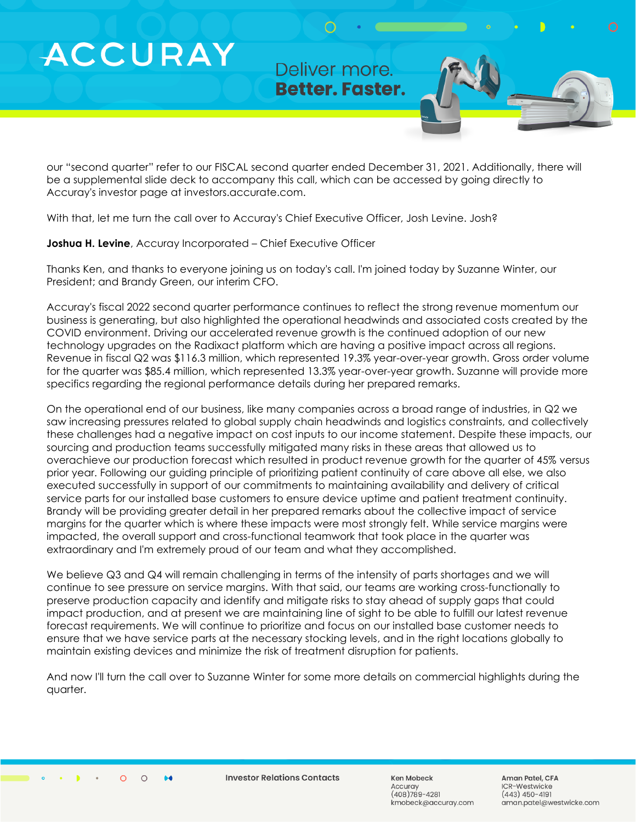Deliver more. **Better. Faster.** 

our "second quarter" refer to our FISCAL second quarter ended December 31, 2021. Additionally, there will be a supplemental slide deck to accompany this call, which can be accessed by going directly to Accuray's investor page at investors.accurate.com.

With that, let me turn the call over to Accuray's Chief Executive Officer, Josh Levine. Josh?

**Joshua H. Levine**, Accuray Incorporated – Chief Executive Officer

Thanks Ken, and thanks to everyone joining us on today's call. I'm joined today by Suzanne Winter, our President; and Brandy Green, our interim CFO.

Accuray's fiscal 2022 second quarter performance continues to reflect the strong revenue momentum our business is generating, but also highlighted the operational headwinds and associated costs created by the COVID environment. Driving our accelerated revenue growth is the continued adoption of our new technology upgrades on the Radixact platform which are having a positive impact across all regions. Revenue in fiscal Q2 was \$116.3 million, which represented 19.3% year-over-year growth. Gross order volume for the quarter was \$85.4 million, which represented 13.3% year-over-year growth. Suzanne will provide more specifics regarding the regional performance details during her prepared remarks.

On the operational end of our business, like many companies across a broad range of industries, in Q2 we saw increasing pressures related to global supply chain headwinds and logistics constraints, and collectively these challenges had a negative impact on cost inputs to our income statement. Despite these impacts, our sourcing and production teams successfully mitigated many risks in these areas that allowed us to overachieve our production forecast which resulted in product revenue growth for the quarter of 45% versus prior year. Following our guiding principle of prioritizing patient continuity of care above all else, we also executed successfully in support of our commitments to maintaining availability and delivery of critical service parts for our installed base customers to ensure device uptime and patient treatment continuity. Brandy will be providing greater detail in her prepared remarks about the collective impact of service margins for the quarter which is where these impacts were most strongly felt. While service margins were impacted, the overall support and cross-functional teamwork that took place in the quarter was extraordinary and I'm extremely proud of our team and what they accomplished.

We believe Q3 and Q4 will remain challenging in terms of the intensity of parts shortages and we will continue to see pressure on service margins. With that said, our teams are working cross-functionally to preserve production capacity and identify and mitigate risks to stay ahead of supply gaps that could impact production, and at present we are maintaining line of sight to be able to fulfill our latest revenue forecast requirements. We will continue to prioritize and focus on our installed base customer needs to ensure that we have service parts at the necessary stocking levels, and in the right locations globally to maintain existing devices and minimize the risk of treatment disruption for patients.

And now I'll turn the call over to Suzanne Winter for some more details on commercial highlights during the quarter.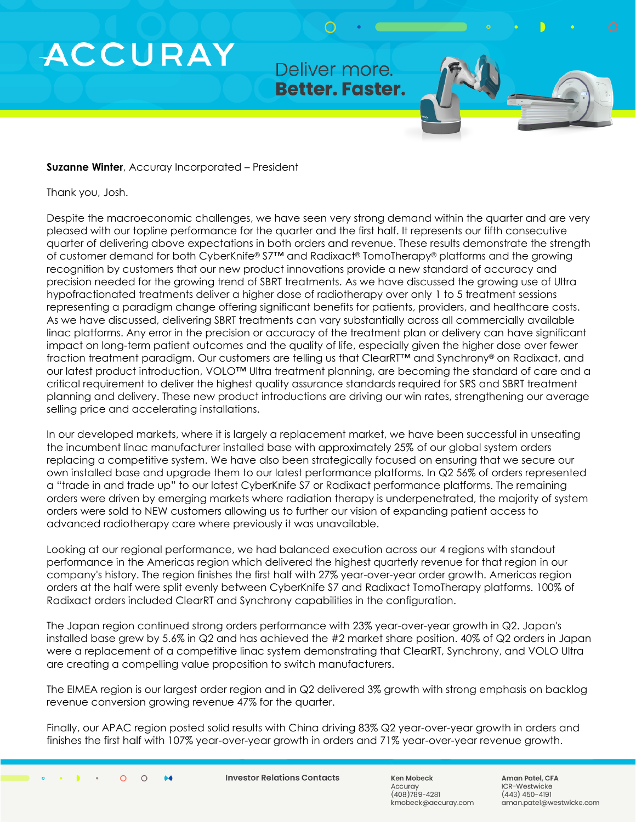Deliver more. **Better. Faster.** 

#### **Suzanne Winter**, Accuray Incorporated – President

Thank you, Josh.

Despite the macroeconomic challenges, we have seen very strong demand within the quarter and are very pleased with our topline performance for the quarter and the first half. It represents our fifth consecutive quarter of delivering above expectations in both orders and revenue. These results demonstrate the strength of customer demand for both CyberKnife® S7™ and Radixact® TomoTherapy® platforms and the growing recognition by customers that our new product innovations provide a new standard of accuracy and precision needed for the growing trend of SBRT treatments. As we have discussed the growing use of Ultra hypofractionated treatments deliver a higher dose of radiotherapy over only 1 to 5 treatment sessions representing a paradigm change offering significant benefits for patients, providers, and healthcare costs. As we have discussed, delivering SBRT treatments can vary substantially across all commercially available linac platforms. Any error in the precision or accuracy of the treatment plan or delivery can have significant impact on long-term patient outcomes and the quality of life, especially given the higher dose over fewer fraction treatment paradigm. Our customers are telling us that ClearRT<sup>™</sup> and Synchrony® on Radixact, and our latest product introduction, VOLO™ Ultra treatment planning, are becoming the standard of care and a critical requirement to deliver the highest quality assurance standards required for SRS and SBRT treatment planning and delivery. These new product introductions are driving our win rates, strengthening our average selling price and accelerating installations.

In our developed markets, where it is largely a replacement market, we have been successful in unseating the incumbent linac manufacturer installed base with approximately 25% of our global system orders replacing a competitive system. We have also been strategically focused on ensuring that we secure our own installed base and upgrade them to our latest performance platforms. In Q2 56% of orders represented a "trade in and trade up" to our latest CyberKnife S7 or Radixact performance platforms. The remaining orders were driven by emerging markets where radiation therapy is underpenetrated, the majority of system orders were sold to NEW customers allowing us to further our vision of expanding patient access to advanced radiotherapy care where previously it was unavailable.

Looking at our regional performance, we had balanced execution across our 4 regions with standout performance in the Americas region which delivered the highest quarterly revenue for that region in our company's history. The region finishes the first half with 27% year-over-year order growth. Americas region orders at the half were split evenly between CyberKnife S7 and Radixact TomoTherapy platforms. 100% of Radixact orders included ClearRT and Synchrony capabilities in the configuration.

The Japan region continued strong orders performance with 23% year-over-year growth in Q2. Japan's installed base grew by 5.6% in Q2 and has achieved the #2 market share position. 40% of Q2 orders in Japan were a replacement of a competitive linac system demonstrating that ClearRT, Synchrony, and VOLO Ultra are creating a compelling value proposition to switch manufacturers.

The EIMEA region is our largest order region and in Q2 delivered 3% growth with strong emphasis on backlog revenue conversion growing revenue 47% for the quarter.

Finally, our APAC region posted solid results with China driving 83% Q2 year-over-year growth in orders and finishes the first half with 107% year-over-year growth in orders and 71% year-over-year revenue growth.

**Investor Relations Contacts** 

Ken Mobeck Accurav  $(408)789 - 4281$ kmobeck@accuray.com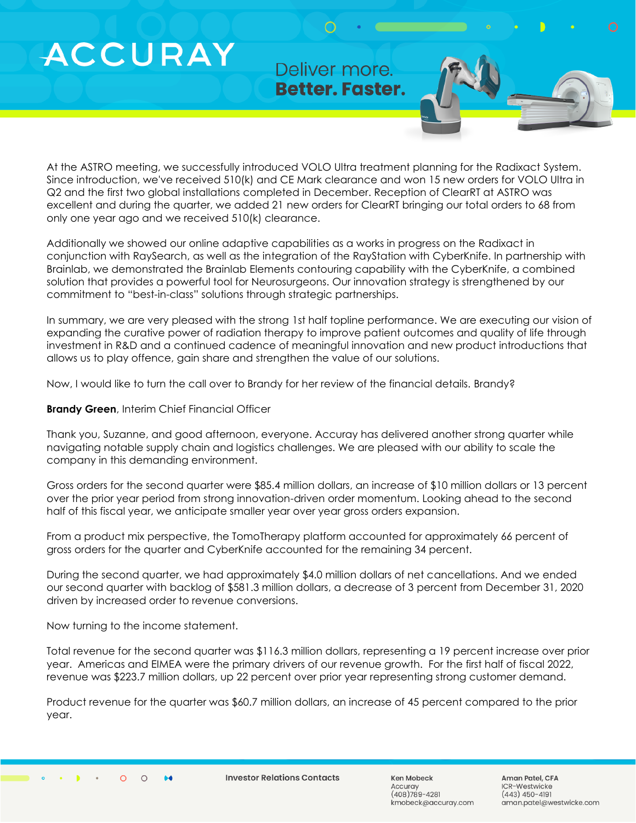Deliver more. **Better. Faster.** 

At the ASTRO meeting, we successfully introduced VOLO Ultra treatment planning for the Radixact System. Since introduction, we've received 510(k) and CE Mark clearance and won 15 new orders for VOLO Ultra in Q2 and the first two global installations completed in December. Reception of ClearRT at ASTRO was excellent and during the quarter, we added 21 new orders for ClearRT bringing our total orders to 68 from only one year ago and we received 510(k) clearance.

Additionally we showed our online adaptive capabilities as a works in progress on the Radixact in conjunction with RaySearch, as well as the integration of the RayStation with CyberKnife. In partnership with Brainlab, we demonstrated the Brainlab Elements contouring capability with the CyberKnife, a combined solution that provides a powerful tool for Neurosurgeons. Our innovation strategy is strengthened by our commitment to "best-in-class" solutions through strategic partnerships.

In summary, we are very pleased with the strong 1st half topline performance. We are executing our vision of expanding the curative power of radiation therapy to improve patient outcomes and quality of life through investment in R&D and a continued cadence of meaningful innovation and new product introductions that allows us to play offence, gain share and strengthen the value of our solutions.

Now, I would like to turn the call over to Brandy for her review of the financial details. Brandy?

**Brandy Green**, Interim Chief Financial Officer

Thank you, Suzanne, and good afternoon, everyone. Accuray has delivered another strong quarter while navigating notable supply chain and logistics challenges. We are pleased with our ability to scale the company in this demanding environment.

Gross orders for the second quarter were \$85.4 million dollars, an increase of \$10 million dollars or 13 percent over the prior year period from strong innovation-driven order momentum. Looking ahead to the second half of this fiscal year, we anticipate smaller year over year gross orders expansion.

From a product mix perspective, the TomoTherapy platform accounted for approximately 66 percent of gross orders for the quarter and CyberKnife accounted for the remaining 34 percent.

During the second quarter, we had approximately \$4.0 million dollars of net cancellations. And we ended our second quarter with backlog of \$581.3 million dollars, a decrease of 3 percent from December 31, 2020 driven by increased order to revenue conversions.

Now turning to the income statement.

Total revenue for the second quarter was \$116.3 million dollars, representing a 19 percent increase over prior year. Americas and EIMEA were the primary drivers of our revenue growth. For the first half of fiscal 2022, revenue was \$223.7 million dollars, up 22 percent over prior year representing strong customer demand.

Product revenue for the quarter was \$60.7 million dollars, an increase of 45 percent compared to the prior year.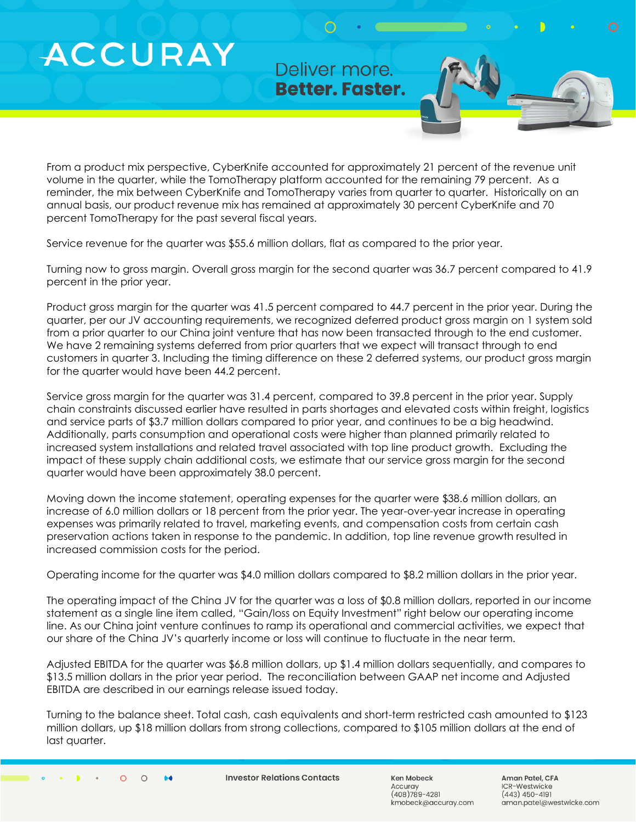Deliver more. **Better. Faster.** 

From a product mix perspective, CyberKnife accounted for approximately 21 percent of the revenue unit volume in the quarter, while the TomoTherapy platform accounted for the remaining 79 percent. As a reminder, the mix between CyberKnife and TomoTherapy varies from quarter to quarter. Historically on an annual basis, our product revenue mix has remained at approximately 30 percent CyberKnife and 70 percent TomoTherapy for the past several fiscal years.

Service revenue for the quarter was \$55.6 million dollars, flat as compared to the prior year.

Turning now to gross margin. Overall gross margin for the second quarter was 36.7 percent compared to 41.9 percent in the prior year.

Product gross margin for the quarter was 41.5 percent compared to 44.7 percent in the prior year. During the quarter, per our JV accounting requirements, we recognized deferred product gross margin on 1 system sold from a prior quarter to our China joint venture that has now been transacted through to the end customer. We have 2 remaining systems deferred from prior quarters that we expect will transact through to end customers in quarter 3. Including the timing difference on these 2 deferred systems, our product gross margin for the quarter would have been 44.2 percent.

Service gross margin for the quarter was 31.4 percent, compared to 39.8 percent in the prior year. Supply chain constraints discussed earlier have resulted in parts shortages and elevated costs within freight, logistics and service parts of \$3.7 million dollars compared to prior year, and continues to be a big headwind. Additionally, parts consumption and operational costs were higher than planned primarily related to increased system installations and related travel associated with top line product growth. Excluding the impact of these supply chain additional costs, we estimate that our service gross margin for the second quarter would have been approximately 38.0 percent.

Moving down the income statement, operating expenses for the quarter were \$38.6 million dollars, an increase of 6.0 million dollars or 18 percent from the prior year. The year-over-year increase in operating expenses was primarily related to travel, marketing events, and compensation costs from certain cash preservation actions taken in response to the pandemic. In addition, top line revenue growth resulted in increased commission costs for the period.

Operating income for the quarter was \$4.0 million dollars compared to \$8.2 million dollars in the prior year.

The operating impact of the China JV for the quarter was a loss of \$0.8 million dollars, reported in our income statement as a single line item called, "Gain/loss on Equity Investment" right below our operating income line. As our China joint venture continues to ramp its operational and commercial activities, we expect that our share of the China JV's quarterly income or loss will continue to fluctuate in the near term.

Adjusted EBITDA for the quarter was \$6.8 million dollars, up \$1.4 million dollars sequentially, and compares to \$13.5 million dollars in the prior year period. The reconciliation between GAAP net income and Adjusted EBITDA are described in our earnings release issued today.

Turning to the balance sheet. Total cash, cash equivalents and short-term restricted cash amounted to \$123 million dollars, up \$18 million dollars from strong collections, compared to \$105 million dollars at the end of last quarter.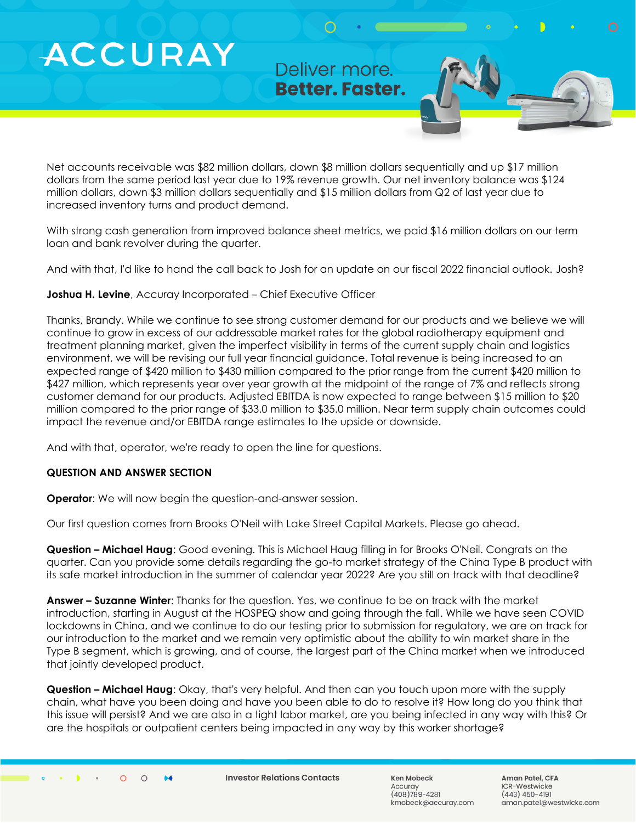Deliver more. **Better. Faster.** 

Net accounts receivable was \$82 million dollars, down \$8 million dollars sequentially and up \$17 million dollars from the same period last year due to 19% revenue growth. Our net inventory balance was \$124 million dollars, down \$3 million dollars sequentially and \$15 million dollars from Q2 of last year due to increased inventory turns and product demand.

With strong cash generation from improved balance sheet metrics, we paid \$16 million dollars on our term loan and bank revolver during the quarter.

And with that, I'd like to hand the call back to Josh for an update on our fiscal 2022 financial outlook. Josh?

#### **Joshua H. Levine**, Accuray Incorporated – Chief Executive Officer

Thanks, Brandy. While we continue to see strong customer demand for our products and we believe we will continue to grow in excess of our addressable market rates for the global radiotherapy equipment and treatment planning market, given the imperfect visibility in terms of the current supply chain and logistics environment, we will be revising our full year financial guidance. Total revenue is being increased to an expected range of \$420 million to \$430 million compared to the prior range from the current \$420 million to \$427 million, which represents year over year growth at the midpoint of the range of 7% and reflects strong customer demand for our products. Adjusted EBITDA is now expected to range between \$15 million to \$20 million compared to the prior range of \$33.0 million to \$35.0 million. Near term supply chain outcomes could impact the revenue and/or EBITDA range estimates to the upside or downside.

And with that, operator, we're ready to open the line for questions.

#### **QUESTION AND ANSWER SECTION**

**Operator**: We will now begin the question-and-answer session.

Our first question comes from Brooks O'Neil with Lake Street Capital Markets. Please go ahead.

**Question – Michael Haug**: Good evening. This is Michael Haug filling in for Brooks O'Neil. Congrats on the quarter. Can you provide some details regarding the go-to market strategy of the China Type B product with its safe market introduction in the summer of calendar year 2022? Are you still on track with that deadline?

**Answer – Suzanne Winter**: Thanks for the question. Yes, we continue to be on track with the market introduction, starting in August at the HOSPEQ show and going through the fall. While we have seen COVID lockdowns in China, and we continue to do our testing prior to submission for regulatory, we are on track for our introduction to the market and we remain very optimistic about the ability to win market share in the Type B segment, which is growing, and of course, the largest part of the China market when we introduced that jointly developed product.

**Question – Michael Haug**: Okay, that's very helpful. And then can you touch upon more with the supply chain, what have you been doing and have you been able to do to resolve it? How long do you think that this issue will persist? And we are also in a tight labor market, are you being infected in any way with this? Or are the hospitals or outpatient centers being impacted in any way by this worker shortage?

**Investor Relations Contacts** 

Ken Mobeck Accurav  $(408)789 - 4281$ kmobeck@accuray.com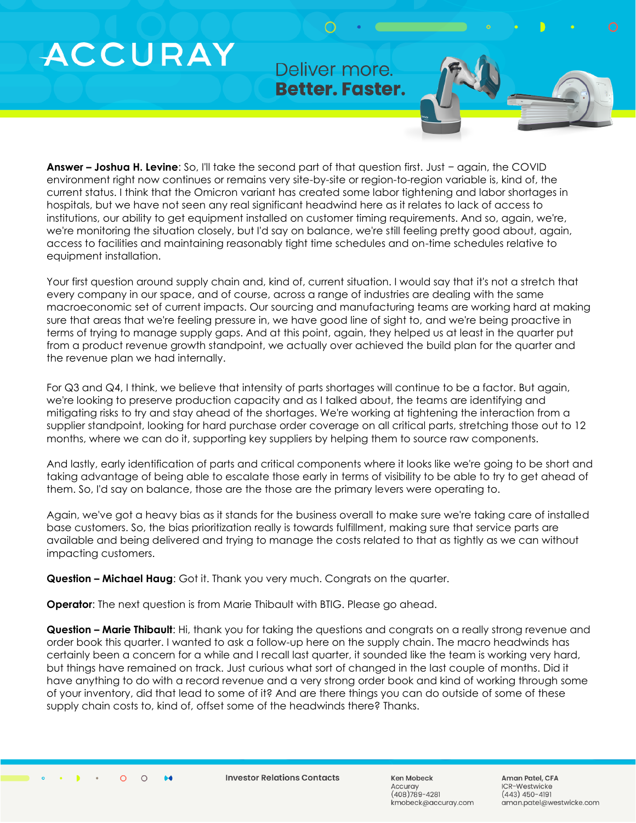Deliver more. **Better. Faster.** 

**Answer – Joshua H. Levine**: So, I'll take the second part of that question first. Just − again, the COVID environment right now continues or remains very site-by-site or region-to-region variable is, kind of, the current status. I think that the Omicron variant has created some labor tightening and labor shortages in hospitals, but we have not seen any real significant headwind here as it relates to lack of access to institutions, our ability to get equipment installed on customer timing requirements. And so, again, we're, we're monitoring the situation closely, but I'd say on balance, we're still feeling pretty good about, again, access to facilities and maintaining reasonably tight time schedules and on-time schedules relative to equipment installation.

Your first question around supply chain and, kind of, current situation. I would say that it's not a stretch that every company in our space, and of course, across a range of industries are dealing with the same macroeconomic set of current impacts. Our sourcing and manufacturing teams are working hard at making sure that areas that we're feeling pressure in, we have good line of sight to, and we're being proactive in terms of trying to manage supply gaps. And at this point, again, they helped us at least in the quarter put from a product revenue growth standpoint, we actually over achieved the build plan for the quarter and the revenue plan we had internally.

For Q3 and Q4, I think, we believe that intensity of parts shortages will continue to be a factor. But again, we're looking to preserve production capacity and as I talked about, the teams are identifying and mitigating risks to try and stay ahead of the shortages. We're working at tightening the interaction from a supplier standpoint, looking for hard purchase order coverage on all critical parts, stretching those out to 12 months, where we can do it, supporting key suppliers by helping them to source raw components.

And lastly, early identification of parts and critical components where it looks like we're going to be short and taking advantage of being able to escalate those early in terms of visibility to be able to try to get ahead of them. So, I'd say on balance, those are the those are the primary levers were operating to.

Again, we've got a heavy bias as it stands for the business overall to make sure we're taking care of installed base customers. So, the bias prioritization really is towards fulfillment, making sure that service parts are available and being delivered and trying to manage the costs related to that as tightly as we can without impacting customers.

**Question – Michael Haug**: Got it. Thank you very much. Congrats on the quarter.

**Operator**: The next question is from Marie Thibault with BTIG. Please go ahead.

**Question – Marie Thibault**: Hi, thank you for taking the questions and congrats on a really strong revenue and order book this quarter. I wanted to ask a follow-up here on the supply chain. The macro headwinds has certainly been a concern for a while and I recall last quarter, it sounded like the team is working very hard, but things have remained on track. Just curious what sort of changed in the last couple of months. Did it have anything to do with a record revenue and a very strong order book and kind of working through some of your inventory, did that lead to some of it? And are there things you can do outside of some of these supply chain costs to, kind of, offset some of the headwinds there? Thanks.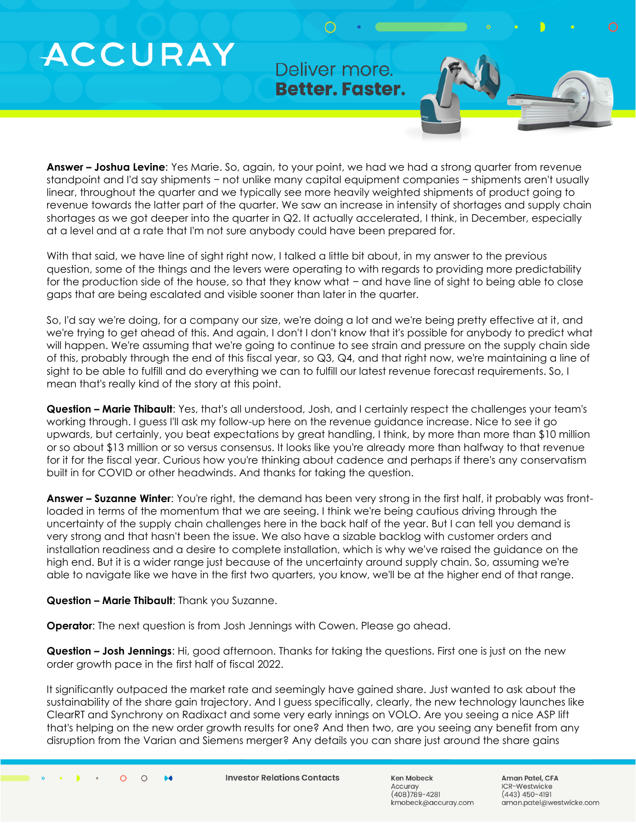Deliver more. **Better. Faster.** 

**Answer – Joshua Levine**: Yes Marie. So, again, to your point, we had we had a strong quarter from revenue standpoint and I'd say shipments − not unlike many capital equipment companies − shipments aren't usually linear, throughout the quarter and we typically see more heavily weighted shipments of product going to revenue towards the latter part of the quarter. We saw an increase in intensity of shortages and supply chain shortages as we got deeper into the quarter in Q2. It actually accelerated, I think, in December, especially at a level and at a rate that I'm not sure anybody could have been prepared for.

With that said, we have line of sight right now, I talked a little bit about, in my answer to the previous question, some of the things and the levers were operating to with regards to providing more predictability for the production side of the house, so that they know what − and have line of sight to being able to close gaps that are being escalated and visible sooner than later in the quarter.

So, I'd say we're doing, for a company our size, we're doing a lot and we're being pretty effective at it, and we're trying to get ahead of this. And again, I don't I don't know that it's possible for anybody to predict what will happen. We're assuming that we're going to continue to see strain and pressure on the supply chain side of this, probably through the end of this fiscal year, so Q3, Q4, and that right now, we're maintaining a line of sight to be able to fulfill and do everything we can to fulfill our latest revenue forecast requirements. So, I mean that's really kind of the story at this point.

**Question – Marie Thibault**: Yes, that's all understood, Josh, and I certainly respect the challenges your team's working through. I guess I'll ask my follow-up here on the revenue guidance increase. Nice to see it go upwards, but certainly, you beat expectations by great handling, I think, by more than more than \$10 million or so about \$13 million or so versus consensus. It looks like you're already more than halfway to that revenue for it for the fiscal year. Curious how you're thinking about cadence and perhaps if there's any conservatism built in for COVID or other headwinds. And thanks for taking the question.

**Answer – Suzanne Winter**: You're right, the demand has been very strong in the first half, it probably was frontloaded in terms of the momentum that we are seeing. I think we're being cautious driving through the uncertainty of the supply chain challenges here in the back half of the year. But I can tell you demand is very strong and that hasn't been the issue. We also have a sizable backlog with customer orders and installation readiness and a desire to complete installation, which is why we've raised the guidance on the high end. But it is a wider range just because of the uncertainty around supply chain. So, assuming we're able to navigate like we have in the first two quarters, you know, we'll be at the higher end of that range.

**Question – Marie Thibault**: Thank you Suzanne.

**Operator**: The next question is from Josh Jennings with Cowen. Please go ahead.

**Question – Josh Jennings**: Hi, good afternoon. Thanks for taking the questions. First one is just on the new order growth pace in the first half of fiscal 2022.

It significantly outpaced the market rate and seemingly have gained share. Just wanted to ask about the sustainability of the share gain trajectory. And I guess specifically, clearly, the new technology launches like ClearRT and Synchrony on Radixact and some very early innings on VOLO. Are you seeing a nice ASP lift that's helping on the new order growth results for one? And then two, are you seeing any benefit from any disruption from the Varian and Siemens merger? Any details you can share just around the share gains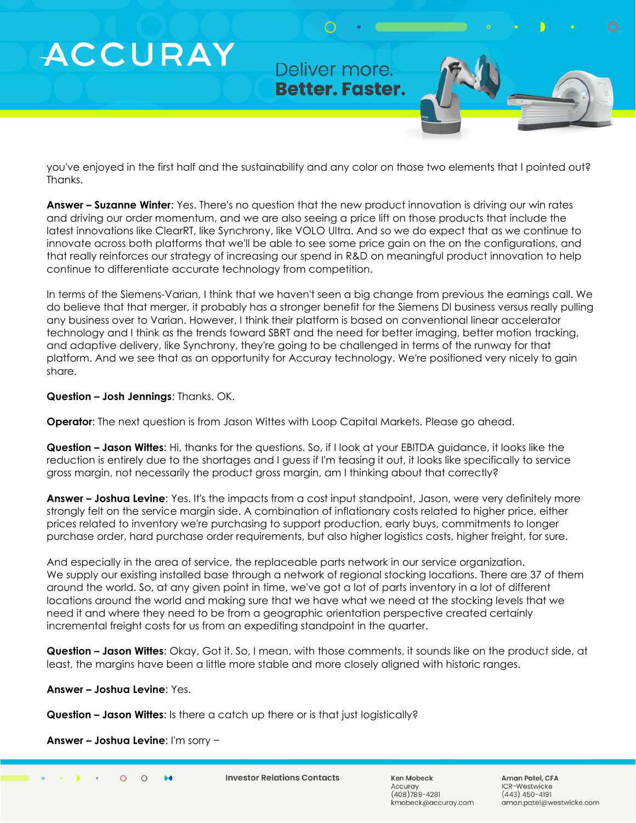### Deliver more. **Better. Faster.**

you've enjoyed in the first half and the sustainability and any color on those two elements that I pointed out? Thanks.

**Answer – Suzanne Winter**: Yes. There's no question that the new product innovation is driving our win rates and driving our order momentum, and we are also seeing a price lift on those products that include the latest innovations like ClearRT, like Synchrony, like VOLO Ultra. And so we do expect that as we continue to innovate across both platforms that we'll be able to see some price gain on the on the configurations, and that really reinforces our strategy of increasing our spend in R&D on meaningful product innovation to help continue to differentiate accurate technology from competition.

In terms of the Siemens-Varian, I think that we haven't seen a big change from previous the earnings call. We do believe that that merger, it probably has a stronger benefit for the Siemens DI business versus really pulling any business over to Varian. However, I think their platform is based on conventional linear accelerator technology and I think as the trends toward SBRT and the need for better imaging, better motion tracking, and adaptive delivery, like Synchrony, they're going to be challenged in terms of the runway for that platform. And we see that as an opportunity for Accuray technology. We're positioned very nicely to gain share.

#### **Question – Josh Jennings**: Thanks. OK.

**ACCURAY** 

**Operator**: The next question is from Jason Wittes with Loop Capital Markets. Please go ahead.

**Question – Jason Wittes**: Hi, thanks for the questions. So, if I look at your EBITDA guidance, it looks like the reduction is entirely due to the shortages and I guess if I'm teasing it out, it looks like specifically to service gross margin, not necessarily the product gross margin, am I thinking about that correctly?

**Answer – Joshua Levine**: Yes. It's the impacts from a cost input standpoint, Jason, were very definitely more strongly felt on the service margin side. A combination of inflationary costs related to higher price, either prices related to inventory we're purchasing to support production, early buys, commitments to longer purchase order, hard purchase order requirements, but also higher logistics costs, higher freight, for sure.

And especially in the area of service, the replaceable parts network in our service organization. We supply our existing installed base through a network of regional stocking locations. There are 37 of them around the world. So, at any given point in time, we've got a lot of parts inventory in a lot of different locations around the world and making sure that we have what we need at the stocking levels that we need it and where they need to be from a geographic orientation perspective created certainly incremental freight costs for us from an expediting standpoint in the quarter.

**Question – Jason Wittes**: Okay, Got it. So, I mean, with those comments, it sounds like on the product side, at least, the margins have been a little more stable and more closely aligned with historic ranges.

**Answer – Joshua Levine**: Yes.

**Question – Jason Wittes**: Is there a catch up there or is that just logistically?

**Answer – Joshua Levine**: I'm sorry −

 $\Omega$  $\bigcap$  $\bullet\bullet$  **Investor Relations Contacts** 

Ken Mobeck Accurav  $(408)789 - 4281$ kmobeck@accuray.com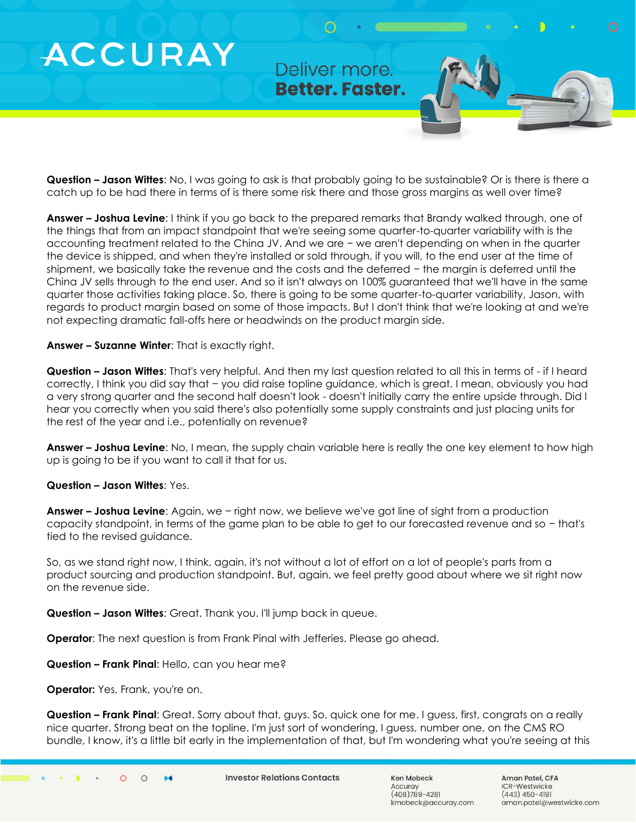Deliver more. **Better. Faster.** 

**Question – Jason Wittes**: No, I was going to ask is that probably going to be sustainable? Or is there is there a catch up to be had there in terms of is there some risk there and those gross margins as well over time?

**Answer – Joshua Levine**: I think if you go back to the prepared remarks that Brandy walked through, one of the things that from an impact standpoint that we're seeing some quarter-to-quarter variability with is the accounting treatment related to the China JV. And we are − we aren't depending on when in the quarter the device is shipped, and when they're installed or sold through, if you will, to the end user at the time of shipment, we basically take the revenue and the costs and the deferred − the margin is deferred until the China JV sells through to the end user. And so it isn't always on 100% guaranteed that we'll have in the same quarter those activities taking place. So, there is going to be some quarter-to-quarter variability, Jason, with regards to product margin based on some of those impacts. But I don't think that we're looking at and we're not expecting dramatic fall-offs here or headwinds on the product margin side.

**Answer – Suzanne Winter**: That is exactly right.

**Question – Jason Wittes**: That's very helpful. And then my last question related to all this in terms of - if I heard correctly, I think you did say that − you did raise topline guidance, which is great. I mean, obviously you had a very strong quarter and the second half doesn't look - doesn't initially carry the entire upside through. Did I hear you correctly when you said there's also potentially some supply constraints and just placing units for the rest of the year and i.e., potentially on revenue?

**Answer – Joshua Levine**: No, I mean, the supply chain variable here is really the one key element to how high up is going to be if you want to call it that for us.

#### **Question – Jason Wittes**: Yes.

**Answer – Joshua Levine**: Again, we − right now, we believe we've got line of sight from a production capacity standpoint, in terms of the game plan to be able to get to our forecasted revenue and so − that's tied to the revised guidance.

So, as we stand right now, I think, again, it's not without a lot of effort on a lot of people's parts from a product sourcing and production standpoint. But, again, we feel pretty good about where we sit right now on the revenue side.

**Question – Jason Wittes**: Great. Thank you. I'll jump back in queue.

**Operator**: The next question is from Frank Pinal with Jefferies. Please go ahead.

**Question – Frank Pinal**: Hello, can you hear me?

**Operator:** Yes, Frank, you're on.

**Question – Frank Pinal**: Great. Sorry about that, guys. So, quick one for me. I guess, first, congrats on a really nice quarter. Strong beat on the topline. I'm just sort of wondering, I guess, number one, on the CMS RO bundle, I know, it's a little bit early in the implementation of that, but I'm wondering what you're seeing at this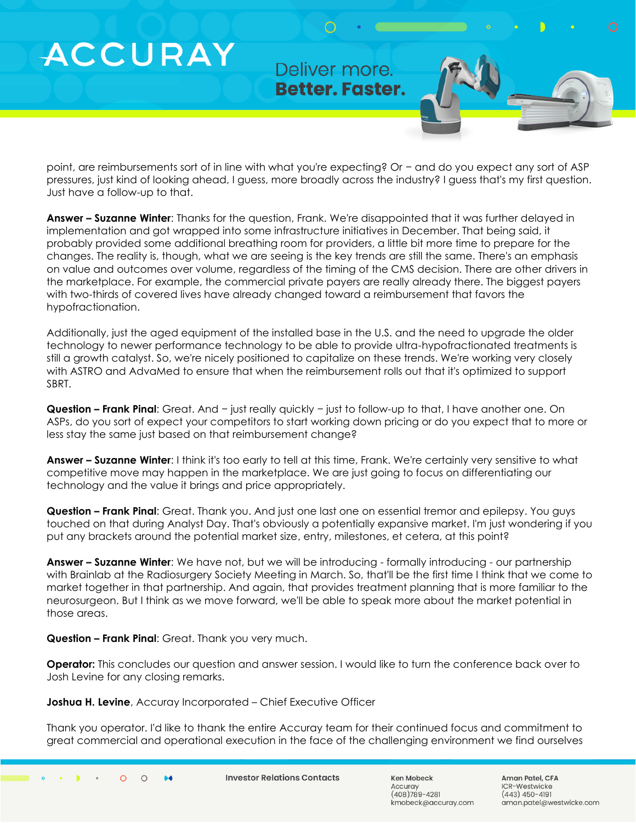### Deliver more. **Better. Faster.**

point, are reimbursements sort of in line with what you're expecting? Or − and do you expect any sort of ASP pressures, just kind of looking ahead, I guess, more broadly across the industry? I guess that's my first question. Just have a follow-up to that.

**Answer – Suzanne Winter**: Thanks for the question, Frank. We're disappointed that it was further delayed in implementation and got wrapped into some infrastructure initiatives in December. That being said, it probably provided some additional breathing room for providers, a little bit more time to prepare for the changes. The reality is, though, what we are seeing is the key trends are still the same. There's an emphasis on value and outcomes over volume, regardless of the timing of the CMS decision. There are other drivers in the marketplace. For example, the commercial private payers are really already there. The biggest payers with two-thirds of covered lives have already changed toward a reimbursement that favors the hypofractionation.

Additionally, just the aged equipment of the installed base in the U.S. and the need to upgrade the older technology to newer performance technology to be able to provide ultra-hypofractionated treatments is still a growth catalyst. So, we're nicely positioned to capitalize on these trends. We're working very closely with ASTRO and AdvaMed to ensure that when the reimbursement rolls out that it's optimized to support SBRT.

**Question – Frank Pinal**: Great. And − just really quickly − just to follow-up to that, I have another one. On ASPs, do you sort of expect your competitors to start working down pricing or do you expect that to more or less stay the same just based on that reimbursement change?

**Answer – Suzanne Winter**: I think it's too early to tell at this time, Frank. We're certainly very sensitive to what competitive move may happen in the marketplace. We are just going to focus on differentiating our technology and the value it brings and price appropriately.

**Question – Frank Pinal**: Great. Thank you. And just one last one on essential tremor and epilepsy. You guys touched on that during Analyst Day. That's obviously a potentially expansive market. I'm just wondering if you put any brackets around the potential market size, entry, milestones, et cetera, at this point?

**Answer – Suzanne Winter**: We have not, but we will be introducing - formally introducing - our partnership with Brainlab at the Radiosurgery Society Meeting in March. So, that'll be the first time I think that we come to market together in that partnership. And again, that provides treatment planning that is more familiar to the neurosurgeon. But I think as we move forward, we'll be able to speak more about the market potential in those areas.

**Question – Frank Pinal**: Great. Thank you very much.

**ACCURAY** 

**Operator:** This concludes our question and answer session. I would like to turn the conference back over to Josh Levine for any closing remarks.

**Joshua H. Levine**, Accuray Incorporated – Chief Executive Officer

Thank you operator. I'd like to thank the entire Accuray team for their continued focus and commitment to great commercial and operational execution in the face of the challenging environment we find ourselves